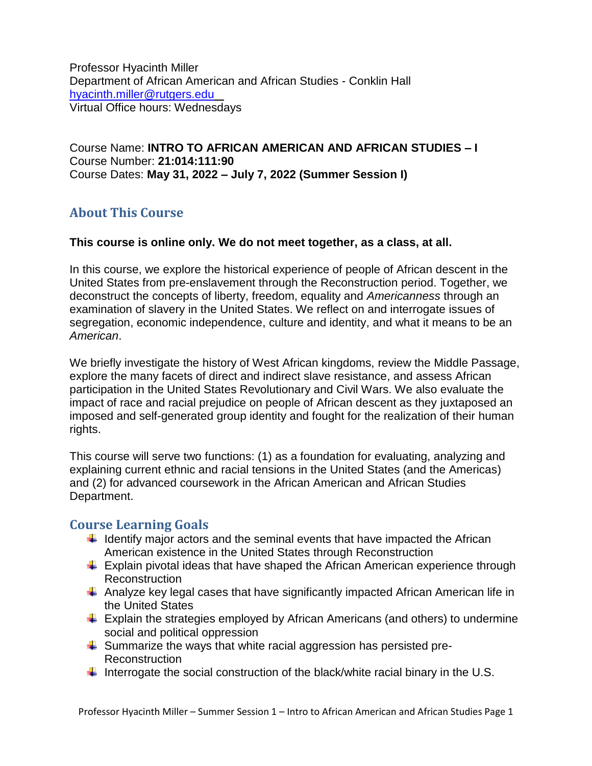Professor Hyacinth Miller Department of African American and African Studies - Conklin Hall [hyacinth.miller@rutgers.edu](mailto:hyacinth.miller@rutgers.edu)  Virtual Office hours: Wednesdays

Course Name: **INTRO TO AFRICAN AMERICAN AND AFRICAN STUDIES – I** Course Number: **21:014:111:90** Course Dates: **May 31, 2022 – July 7, 2022 (Summer Session I)**

### **About This Course**

#### **This course is online only. We do not meet together, as a class, at all.**

In this course, we explore the historical experience of people of African descent in the United States from pre-enslavement through the Reconstruction period. Together, we deconstruct the concepts of liberty, freedom, equality and *Americanness* through an examination of slavery in the United States. We reflect on and interrogate issues of segregation, economic independence, culture and identity, and what it means to be an *American*.

We briefly investigate the history of West African kingdoms, review the Middle Passage, explore the many facets of direct and indirect slave resistance, and assess African participation in the United States Revolutionary and Civil Wars. We also evaluate the impact of race and racial prejudice on people of African descent as they juxtaposed an imposed and self-generated group identity and fought for the realization of their human rights.

This course will serve two functions: (1) as a foundation for evaluating, analyzing and explaining current ethnic and racial tensions in the United States (and the Americas) and (2) for advanced coursework in the African American and African Studies Department.

### **Course Learning Goals**

- $\ddot{+}$  Identify major actors and the seminal events that have impacted the African American existence in the United States through Reconstruction
- $\ddot{+}$  Explain pivotal ideas that have shaped the African American experience through **Reconstruction**
- $\ddot{+}$  Analyze key legal cases that have significantly impacted African American life in the United States
- $\ddot{\phantom{1}}$  Explain the strategies employed by African Americans (and others) to undermine social and political oppression
- $\ddot{\phantom{1}}$  Summarize the ways that white racial aggression has persisted pre-Reconstruction
- Interrogate the social construction of the black/white racial binary in the U.S.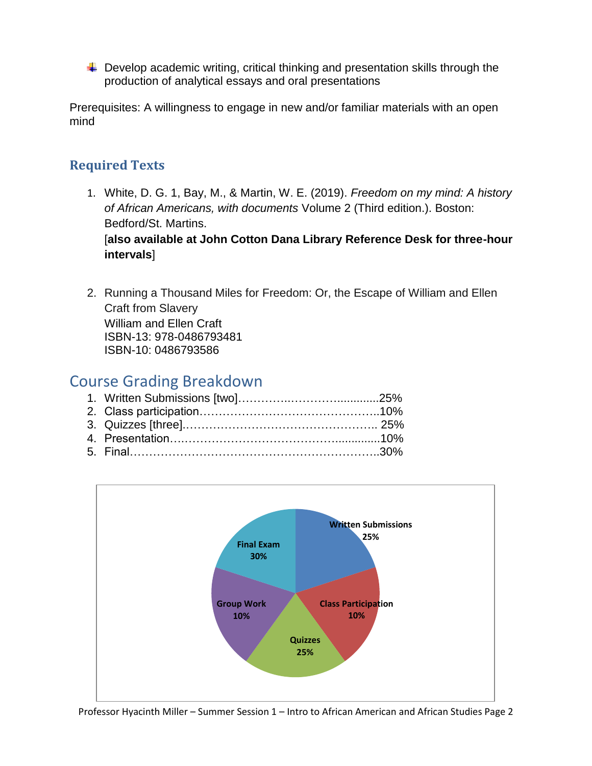$\ddot{\phantom{1}}$  Develop academic writing, critical thinking and presentation skills through the production of analytical essays and oral presentations

Prerequisites: A willingness to engage in new and/or familiar materials with an open mind

## **Required Texts**

- 1. White, D. G. 1, Bay, M., & Martin, W. E. (2019). *Freedom on my mind: A history of African Americans, with documents* Volume 2 (Third edition.). Boston: Bedford/St. Martins. [**also available at John Cotton Dana Library Reference Desk for three-hour intervals**]
- 2. Running a Thousand Miles for Freedom: Or, the Escape of William and Ellen Craft from Slavery William and Ellen Craft ISBN-13: 978-0486793481 ISBN-10: 0486793586

# Course Grading Breakdown

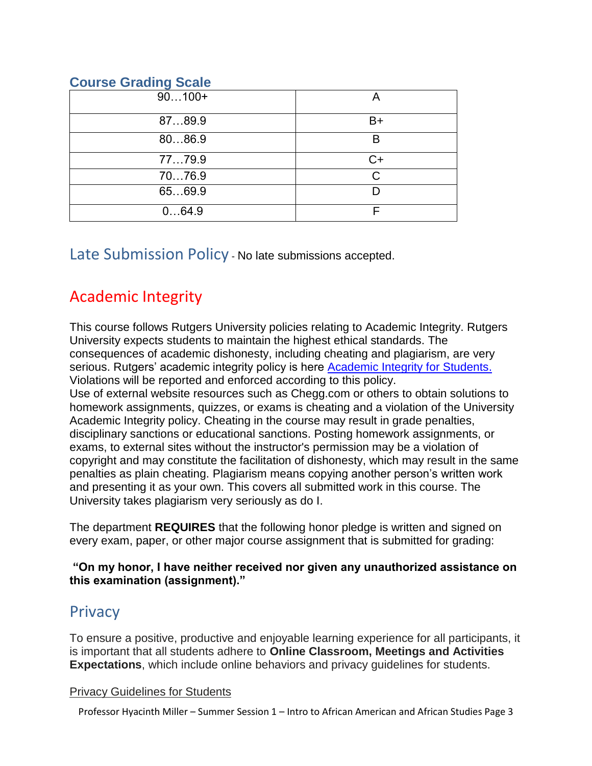### **Course Grading Scale**

| $90100+$ |    |
|----------|----|
| 8789.9   | B+ |
| 8086.9   | R  |
| 7779.9   | C+ |
| 7076.9   | C  |
| 6569.9   |    |
| 064.9    |    |

Late Submission Policy - No late submissions accepted.

# Academic Integrity

This course follows Rutgers University policies relating to Academic Integrity. Rutgers University expects students to maintain the highest ethical standards. The consequences of academic dishonesty, including cheating and plagiarism, are very serious. Rutgers' academic integrity policy is here [Academic Integrity for Students.](https://nbprovost.rutgers.edu/academic-integrity-students) Violations will be reported and enforced according to this policy. Use of external website resources such as Chegg.com or others to obtain solutions to homework assignments, quizzes, or exams is cheating and a violation of the University Academic Integrity policy. Cheating in the course may result in grade penalties, disciplinary sanctions or educational sanctions. Posting homework assignments, or exams, to external sites without the instructor's permission may be a violation of copyright and may constitute the facilitation of dishonesty, which may result in the same penalties as plain cheating. Plagiarism means copying another person's written work and presenting it as your own. This covers all submitted work in this course. The University takes plagiarism very seriously as do I.

The department **REQUIRES** that the following honor pledge is written and signed on every exam, paper, or other major course assignment that is submitted for grading:

#### **"On my honor, I have neither received nor given any unauthorized assistance on this examination (assignment)."**

# **Privacy**

To ensure a positive, productive and enjoyable learning experience for all participants, it is important that all students adhere to **Online Classroom, Meetings and Activities Expectations**, which include online behaviors and privacy guidelines for students.

#### Privacy Guidelines for Students

Professor Hyacinth Miller – Summer Session 1 – Intro to African American and African Studies Page 3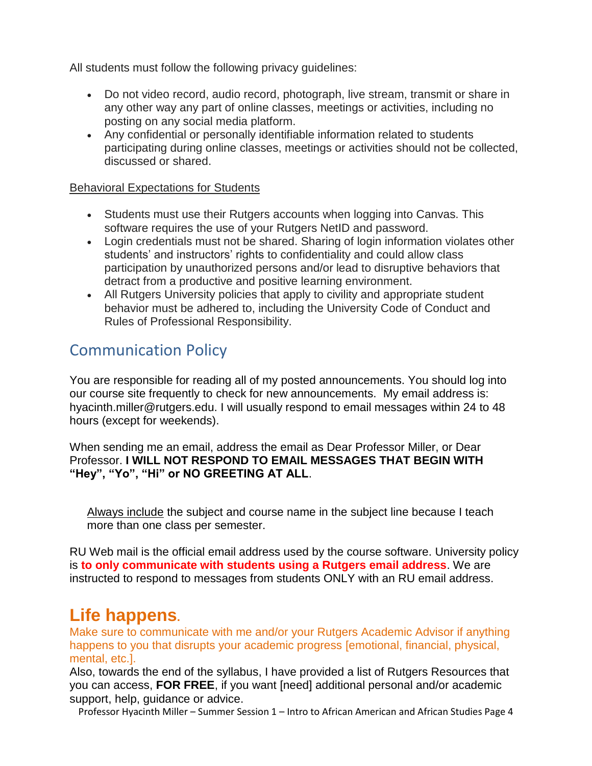All students must follow the following privacy guidelines:

- Do not video record, audio record, photograph, live stream, transmit or share in any other way any part of online classes, meetings or activities, including no posting on any social media platform.
- Any confidential or personally identifiable information related to students participating during online classes, meetings or activities should not be collected, discussed or shared.

#### Behavioral Expectations for Students

- Students must use their Rutgers accounts when logging into Canvas. This software requires the use of your Rutgers NetID and password.
- Login credentials must not be shared. Sharing of login information violates other students' and instructors' rights to confidentiality and could allow class participation by unauthorized persons and/or lead to disruptive behaviors that detract from a productive and positive learning environment.
- All Rutgers University policies that apply to civility and appropriate student behavior must be adhered to, including the University Code of Conduct and Rules of Professional Responsibility.

# Communication Policy

You are responsible for reading all of my posted announcements. You should log into our course site frequently to check for new announcements. My email address is: hyacinth.miller@rutgers.edu. I will usually respond to email messages within 24 to 48 hours (except for weekends).

When sending me an email, address the email as Dear Professor Miller, or Dear Professor. **I WILL NOT RESPOND TO EMAIL MESSAGES THAT BEGIN WITH "Hey", "Yo", "Hi" or NO GREETING AT ALL**.

Always include the subject and course name in the subject line because I teach more than one class per semester.

RU Web mail is the official email address used by the course software. University policy is **to only communicate with students using a Rutgers email address**. We are instructed to respond to messages from students ONLY with an RU email address.

# **Life happens.**

Make sure to communicate with me and/or your Rutgers Academic Advisor if anything happens to you that disrupts your academic progress [emotional, financial, physical, mental, etc.].

Also, towards the end of the syllabus, I have provided a list of Rutgers Resources that you can access, **FOR FREE**, if you want [need] additional personal and/or academic support, help, quidance or advice.

Professor Hyacinth Miller – Summer Session 1 – Intro to African American and African Studies Page 4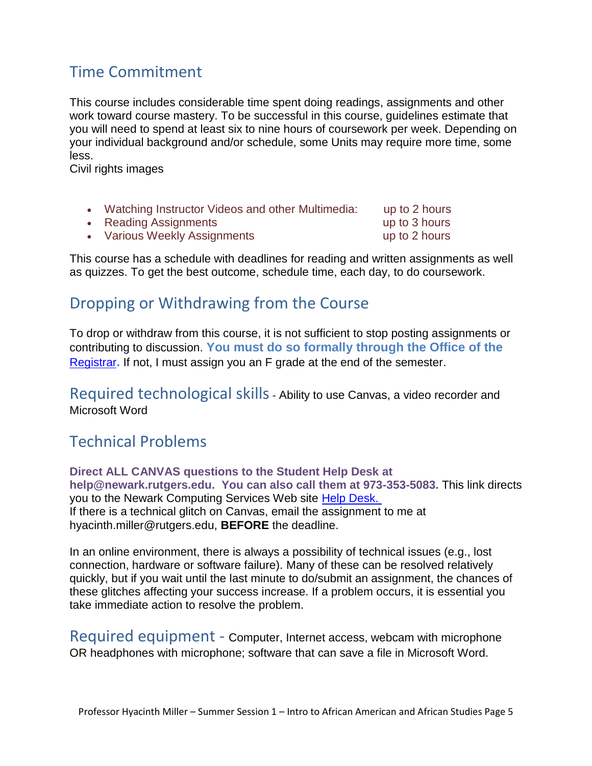# Time Commitment

This course includes considerable time spent doing readings, assignments and other work toward course mastery. To be successful in this course, guidelines estimate that you will need to spend at least six to nine hours of coursework per week. Depending on your individual background and/or schedule, some Units may require more time, some less.

Civil rights images

|  |  | Watching Instructor Videos and other Multimedia: | up to 2 hours |
|--|--|--------------------------------------------------|---------------|
|--|--|--------------------------------------------------|---------------|

• Reading Assignments **and the set of the Second Contract Contract Contract Contract Contract Contract Contract Contract Contract Contract Contract Contract Contract Contract Contract Contract Contract Contract Contract Co** 

• Various Weekly Assignments **by a vertex of the Various Weekly Assignments up to 2 hours** 

This course has a schedule with deadlines for reading and written assignments as well as quizzes. To get the best outcome, schedule time, each day, to do coursework.

# Dropping or Withdrawing from the Course

To drop or withdraw from this course, it is not sufficient to stop posting assignments or contributing to discussion. **You must do so formally through the Office of the**  [Registrar](https://registrar.newark.rutgers.edu/)**.** If not, I must assign you an F grade at the end of the semester.

Required technological skills- Ability to use Canvas, a video recorder and Microsoft Word

# Technical Problems

**Direct ALL CANVAS questions to the Student Help Desk at help@newark.rutgers.edu. You can also call them at 973-353-5083.** This link directs you to the Newark Computing Services Web site [Help Desk.](http://ncs.newark.rutgers.edu/hd) If there is a technical glitch on Canvas, email the assignment to me at hyacinth.miller@rutgers.edu, **BEFORE** the deadline.

In an online environment, there is always a possibility of technical issues (e.g., lost connection, hardware or software failure). Many of these can be resolved relatively quickly, but if you wait until the last minute to do/submit an assignment, the chances of these glitches affecting your success increase. If a problem occurs, it is essential you take immediate action to resolve the problem.

Required equipment - Computer, Internet access, webcam with microphone OR headphones with microphone; software that can save a file in Microsoft Word.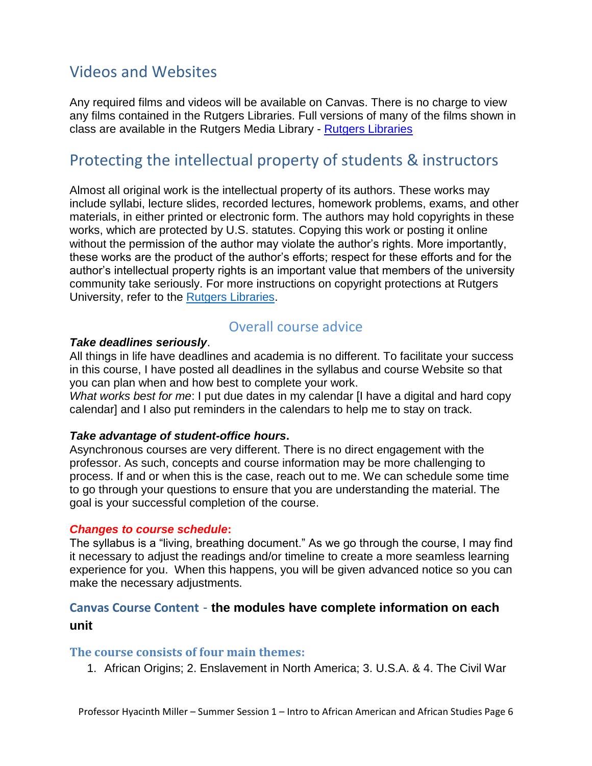# Videos and Websites

Any required films and videos will be available on Canvas. There is no charge to view any films contained in the Rutgers Libraries. Full versions of many of the films shown in class are available in the Rutgers Media Library - [Rutgers Libraries](https://www.libraries.rutgers.edu/borrow-access-request/students-faculty-staff)

# Protecting the intellectual property of students & instructors

Almost all original work is the intellectual property of its authors. These works may include syllabi, lecture slides, recorded lectures, homework problems, exams, and other materials, in either printed or electronic form. The authors may hold copyrights in these works, which are protected by U.S. statutes. Copying this work or posting it online without the permission of the author may violate the author's rights. More importantly, these works are the product of the author's efforts; respect for these efforts and for the author's intellectual property rights is an important value that members of the university community take seriously. For more instructions on copyright protections at Rutgers University, refer to the **Rutgers Libraries**.

# Overall course advice

#### *Take deadlines seriously*.

All things in life have deadlines and academia is no different. To facilitate your success in this course, I have posted all deadlines in the syllabus and course Website so that you can plan when and how best to complete your work.

*What works best for me*: I put due dates in my calendar [I have a digital and hard copy calendar] and I also put reminders in the calendars to help me to stay on track.

#### *Take advantage of student-office hours***.**

Asynchronous courses are very different. There is no direct engagement with the professor. As such, concepts and course information may be more challenging to process. If and or when this is the case, reach out to me. We can schedule some time to go through your questions to ensure that you are understanding the material. The goal is your successful completion of the course.

#### *Changes to course schedule***:**

The syllabus is a "living, breathing document." As we go through the course, I may find it necessary to adjust the readings and/or timeline to create a more seamless learning experience for you. When this happens, you will be given advanced notice so you can make the necessary adjustments.

### **Canvas Course Content** - **the modules have complete information on each unit**

#### **The course consists of four main themes:**

1. African Origins; 2. Enslavement in North America; 3. U.S.A. & 4. The Civil War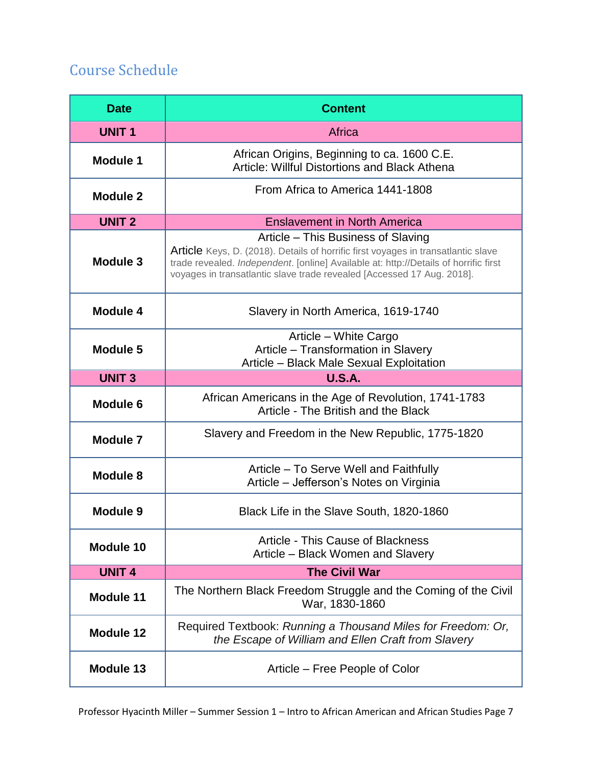# Course Schedule

| <b>Date</b>      | <b>Content</b>                                                                                                                                                                                                                                                                                   |
|------------------|--------------------------------------------------------------------------------------------------------------------------------------------------------------------------------------------------------------------------------------------------------------------------------------------------|
| <b>UNIT1</b>     | Africa                                                                                                                                                                                                                                                                                           |
| <b>Module 1</b>  | African Origins, Beginning to ca. 1600 C.E.<br><b>Article: Willful Distortions and Black Athena</b>                                                                                                                                                                                              |
| <b>Module 2</b>  | From Africa to America 1441-1808                                                                                                                                                                                                                                                                 |
| <b>UNIT 2</b>    | <b>Enslavement in North America</b>                                                                                                                                                                                                                                                              |
| Module 3         | Article – This Business of Slaving<br><b>Article</b> Keys, D. (2018). Details of horrific first voyages in transatlantic slave<br>trade revealed. Independent. [online] Available at: http://Details of horrific first<br>voyages in transatlantic slave trade revealed [Accessed 17 Aug. 2018]. |
| <b>Module 4</b>  | Slavery in North America, 1619-1740                                                                                                                                                                                                                                                              |
| <b>Module 5</b>  | Article - White Cargo<br>Article - Transformation in Slavery<br>Article - Black Male Sexual Exploitation                                                                                                                                                                                         |
| <b>UNIT 3</b>    | <b>U.S.A.</b>                                                                                                                                                                                                                                                                                    |
| Module 6         | African Americans in the Age of Revolution, 1741-1783<br>Article - The British and the Black                                                                                                                                                                                                     |
| <b>Module 7</b>  | Slavery and Freedom in the New Republic, 1775-1820                                                                                                                                                                                                                                               |
| <b>Module 8</b>  | Article – To Serve Well and Faithfully<br>Article – Jefferson's Notes on Virginia                                                                                                                                                                                                                |
| <b>Module 9</b>  | Black Life in the Slave South, 1820-1860                                                                                                                                                                                                                                                         |
| Module 10        | Article - This Cause of Blackness<br>Article – Black Women and Slavery                                                                                                                                                                                                                           |
| <b>UNIT 4</b>    | <b>The Civil War</b>                                                                                                                                                                                                                                                                             |
| <b>Module 11</b> | The Northern Black Freedom Struggle and the Coming of the Civil<br>War, 1830-1860                                                                                                                                                                                                                |
| <b>Module 12</b> | Required Textbook: Running a Thousand Miles for Freedom: Or,<br>the Escape of William and Ellen Craft from Slavery                                                                                                                                                                               |
| <b>Module 13</b> | Article – Free People of Color                                                                                                                                                                                                                                                                   |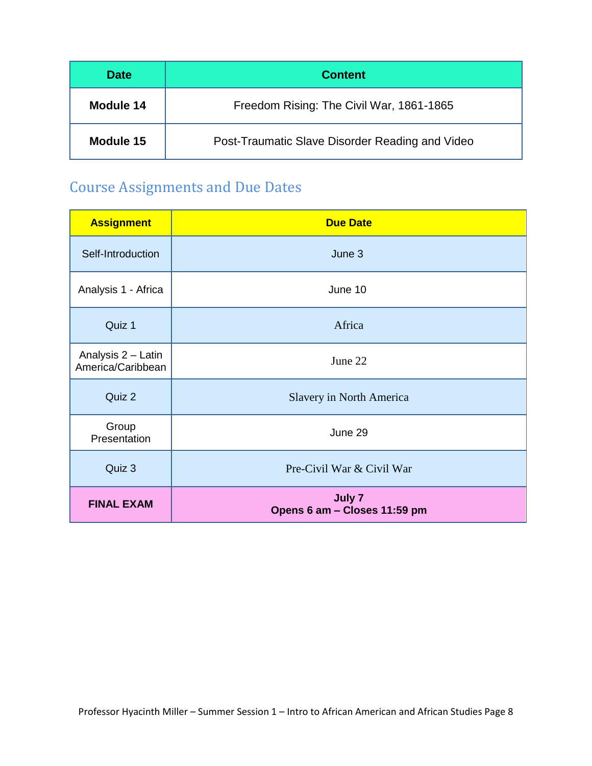| <b>Date</b> | <b>Content</b>                                  |
|-------------|-------------------------------------------------|
| Module 14   | Freedom Rising: The Civil War, 1861-1865        |
| Module 15   | Post-Traumatic Slave Disorder Reading and Video |

# Course Assignments and Due Dates

| <b>Assignment</b>                       | <b>Due Date</b>                        |
|-----------------------------------------|----------------------------------------|
| Self-Introduction                       | June 3                                 |
| Analysis 1 - Africa                     | June 10                                |
| Quiz 1                                  | Africa                                 |
| Analysis 2 - Latin<br>America/Caribbean | June 22                                |
| Quiz 2                                  | <b>Slavery in North America</b>        |
| Group<br>Presentation                   | June 29                                |
| Quiz 3                                  | Pre-Civil War & Civil War              |
| <b>FINAL EXAM</b>                       | July 7<br>Opens 6 am - Closes 11:59 pm |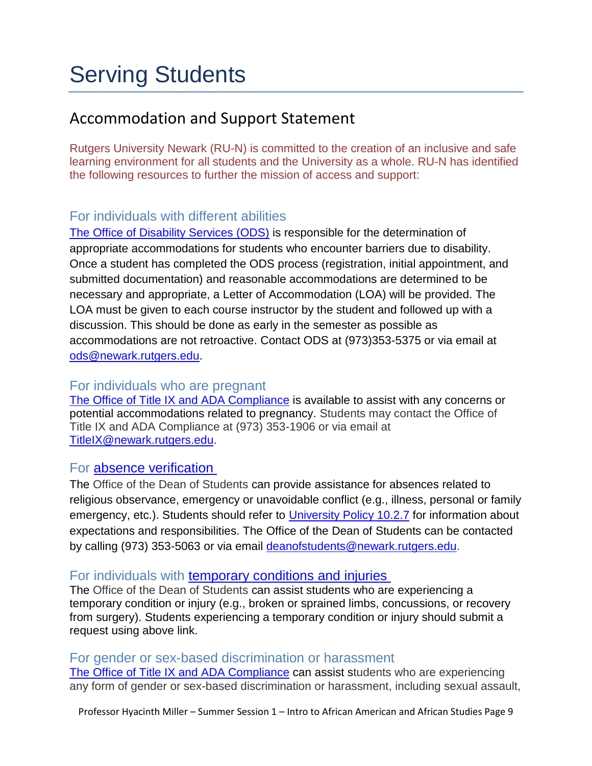# Serving Students

# Accommodation and Support Statement

Rutgers University Newark (RU-N) is committed to the creation of an inclusive and safe learning environment for all students and the University as a whole. RU-N has identified the following resources to further the mission of access and support:

### For individuals with different abilities

[The Office of Disability Services \(ODS\)](https://ods.rutgers.edu/) is responsible for the determination of appropriate accommodations for students who encounter barriers due to disability. Once a student has completed the ODS process (registration, initial appointment, and submitted documentation) and reasonable accommodations are determined to be necessary and appropriate, a Letter of Accommodation (LOA) will be provided. The LOA must be given to each course instructor by the student and followed up with a discussion. This should be done as early in the semester as possible as accommodations are not retroactive. Contact ODS at (973)353-5375 or via email at [ods@newark.rutgers.edu.](mailto:ods@newark.rutgers.edu)

### For individuals who are pregnant

[The Office of Title IX and ADA Compliance](https://studentaffairs.newark.rutgers.edu/support-services/title-ix) is available to assist with any concerns or potential accommodations related to pregnancy. Students may contact the Office of Title IX and ADA Compliance at (973) 353-1906 or via email at [TitleIX@newark.rutgers.edu.](mailto:TitleIX@newark.rutgers.edu)

### For [absence verification](https://sims.rutgers.edu/ssra)

The Office of the Dean of Students can provide assistance for absences related to religious observance, emergency or unavoidable conflict (e.g., illness, personal or family emergency, etc.). Students should refer to [University Policy 10.2.7](https://policies.rutgers.edu/1027-currentpdf) for information about expectations and responsibilities. The Office of the Dean of Students can be contacted by calling (973) 353-5063 or via email [deanofstudents@newark.rutgers.edu.](mailto:deanofstudents@newark.rutgers.edu)

### For individuals with [temporary conditions and](https://temporaryconditions.rutgers.edu/) injuries

The Office of the Dean of Students can assist students who are experiencing a temporary condition or injury (e.g., broken or sprained limbs, concussions, or recovery from surgery). Students experiencing a temporary condition or injury should submit a request using above link.

### For gender or sex-based discrimination or harassment

[The Office of Title IX and ADA Compliance](https://studentaffairs.newark.rutgers.edu/support-services/title-ix) can assist students who are experiencing any form of gender or sex-based discrimination or harassment, including sexual assault,

Professor Hyacinth Miller – Summer Session 1 – Intro to African American and African Studies Page 9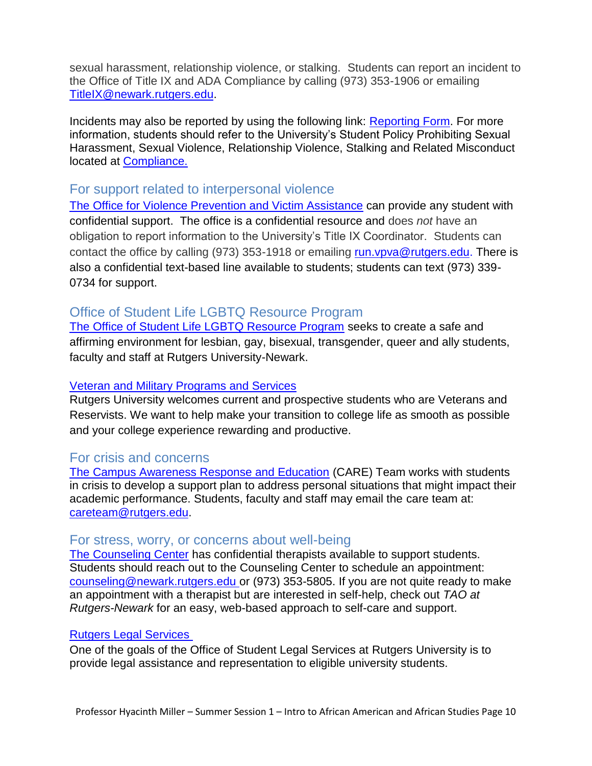sexual harassment, relationship violence, or stalking. Students can report an incident to the Office of Title IX and ADA Compliance by calling (973) 353-1906 or emailing [TitleIX@newark.rutgers.edu.](mailto:TitleIX@newark.rutgers.edu)

Incidents may also be reported by using the following link: Reporting Form. For more information, students should refer to the University's Student Policy Prohibiting Sexual Harassment, Sexual Violence, Relationship Violence, Stalking and Related Misconduct located at [Compliance.](http://compliance.rutgers.edu/title-ix/about-title-ix/title-ix-policies/)

### For support related to interpersonal violence

[The Office for Violence Prevention and Victim Assistance](https://www.newark.rutgers.edu/VPVA) can provide any student with confidential support. The office is a confidential resource and does *not* have an obligation to report information to the University's Title IX Coordinator. Students can contact the office by calling (973) 353-1918 or emailing [run.vpva@rutgers.edu.](mailto:run.vpva@rutgers.edu) There is also a confidential text-based line available to students; students can text (973) 339- 0734 for support.

### Office of Student Life LGBTQ Resource Program

[The Office of Student Life LGBTQ Resource Program](http://lgbt.newark.rutgers.edu/) seeks to create a safe and affirming environment for lesbian, gay, bisexual, transgender, queer and ally students, faculty and staff at Rutgers University-Newark.

#### [Veteran and Military Programs and Services](http://www.newark.rutgers.edu/resources-student-veterans)

Rutgers University welcomes current and prospective students who are Veterans and Reservists. We want to help make your transition to college life as smooth as possible and your college experience rewarding and productive.

### For crisis and concerns

[The Campus Awareness Response and Education](about:blank) (CARE) Team works with students in crisis to develop a support plan to address personal situations that might impact their academic performance. Students, faculty and staff may email the care team at: [careteam@rutgers.edu.](mailto:careteam@rutgers.edu)

### For stress, worry, or concerns about well-being

[The Counseling Center](https://tinyurl.com/RUN-TAO) has confidential therapists available to support students. Students should reach out to the Counseling Center to schedule an appointment: [counseling@newark.rutgers.edu](mailto:counseling@newark.rutgers.edu) or (973) 353-5805. If you are not quite ready to make an appointment with a therapist but are interested in self-help, check out *TAO at Rutgers-Newark* for an easy, web-based approach to self-care and support.

#### [Rutgers Legal Services](http://rusls.rutgers.edu/contact-us/)

One of the goals of the Office of Student Legal Services at Rutgers University is to provide legal assistance and representation to eligible university students.